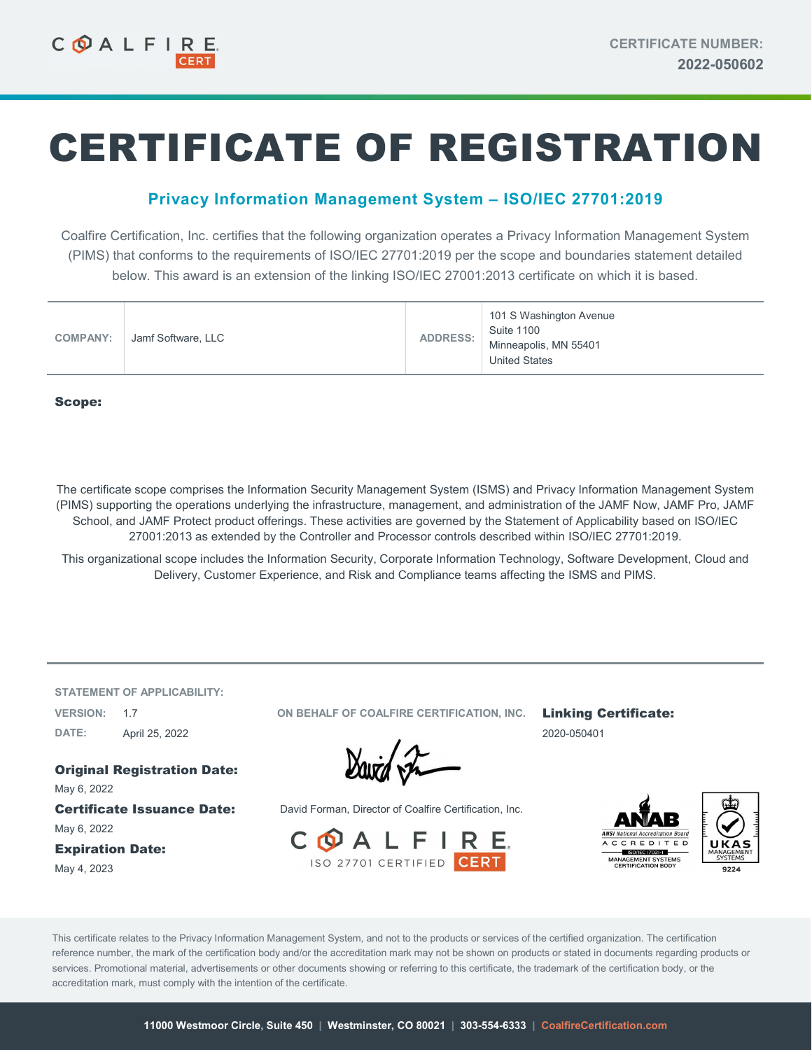# CERTIFICATE OF REGISTRATION

## Privacy Information Management System – ISO/IEC 27701:2019

Coalfire Certification, Inc. certifies that the following organization operates a Privacy Information Management System (PIMS) that conforms to the requirements of ISO/IEC 27701:2019 per the scope and boundaries statement detailed below. This award is an extension of the linking ISO/IEC 27001:2013 certificate on which it is based.

| <b>COMPANY:</b> | Jamf Software, LLC | <b>ADDRESS:</b> | 101 S Washington Avenue<br><b>Suite 1100</b><br>Minneapolis, MN 55401<br><b>United States</b> |
|-----------------|--------------------|-----------------|-----------------------------------------------------------------------------------------------|
|-----------------|--------------------|-----------------|-----------------------------------------------------------------------------------------------|

#### Scope:

The certificate scope comprises the Information Security Management System (ISMS) and Privacy Information Management System (PIMS) supporting the operations underlying the infrastructure, management, and administration of the JAMF Now, JAMF Pro, JAMF School, and JAMF Protect product offerings. These activities are governed by the Statement of Applicability based on ISO/IEC 27001:2013 as extended by the Controller and Processor controls described within ISO/IEC 27701:2019.

This organizational scope includes the Information Security, Corporate Information Technology, Software Development, Cloud and Delivery, Customer Experience, and Risk and Compliance teams affecting the ISMS and PIMS.

STATEMENT OF APPLICABILITY: DATE: April 25, 2022 2020-050401

Original Registration Date: May 6, 2022

May 6, 2022

Expiration Date: May 4, 2023

VERSION: 1.7 **CORIGINATION IN A CONCLUST OF COALFIRE CERTIFICATION, INC.** Linking Certificate:

David In

Certificate Issuance Date: David Forman, Director of Coalfire Certification, Inc.





This certificate relates to the Privacy Information Management System, and not to the products or services of the certified organization. The certification reference number, the mark of the certification body and/or the accreditation mark may not be shown on products or stated in documents regarding products or services. Promotional material, advertisements or other documents showing or referring to this certificate, the trademark of the certification body, or the accreditation mark, must comply with the intention of the certificate.